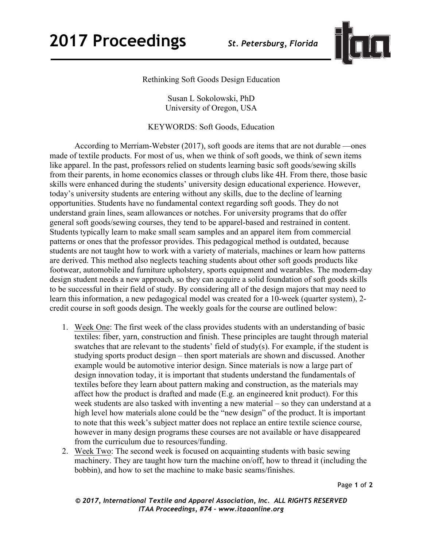

Rethinking Soft Goods Design Education

Susan L Sokolowski, PhD University of Oregon, USA

KEYWORDS: Soft Goods, Education

According to Merriam-Webster (2017), soft goods are items that are not durable —ones made of textile products. For most of us, when we think of soft goods, we think of sewn items like apparel. In the past, professors relied on students learning basic soft goods/sewing skills from their parents, in home economics classes or through clubs like 4H. From there, those basic skills were enhanced during the students' university design educational experience. However, today's university students are entering without any skills, due to the decline of learning opportunities. Students have no fundamental context regarding soft goods. They do not understand grain lines, seam allowances or notches. For university programs that do offer general soft goods/sewing courses, they tend to be apparel-based and restrained in content. Students typically learn to make small seam samples and an apparel item from commercial patterns or ones that the professor provides. This pedagogical method is outdated, because students are not taught how to work with a variety of materials, machines or learn how patterns are derived. This method also neglects teaching students about other soft goods products like footwear, automobile and furniture upholstery, sports equipment and wearables. The modern-day design student needs a new approach, so they can acquire a solid foundation of soft goods skills to be successful in their field of study. By considering all of the design majors that may need to learn this information, a new pedagogical model was created for a 10-week (quarter system), 2 credit course in soft goods design. The weekly goals for the course are outlined below:

- 1. Week One: The first week of the class provides students with an understanding of basic textiles: fiber, yarn, construction and finish. These principles are taught through material swatches that are relevant to the students' field of study(s). For example, if the student is studying sports product design – then sport materials are shown and discussed. Another example would be automotive interior design. Since materials is now a large part of design innovation today, it is important that students understand the fundamentals of textiles before they learn about pattern making and construction, as the materials may affect how the product is drafted and made (E.g. an engineered knit product). For this week students are also tasked with inventing a new material – so they can understand at a high level how materials alone could be the "new design" of the product. It is important to note that this week's subject matter does not replace an entire textile science course, however in many design programs these courses are not available or have disappeared from the curriculum due to resources/funding.
- 2. Week Two: The second week is focused on acquainting students with basic sewing machinery. They are taught how turn the machine on/off, how to thread it (including the bobbin), and how to set the machine to make basic seams/finishes.

Page **1** of **2**

*© 2017, International Textile and Apparel Association, Inc. ALL RIGHTS RESERVED ITAA Proceedings, #74 – www.itaaonline.org*